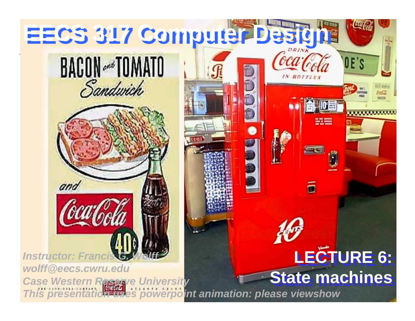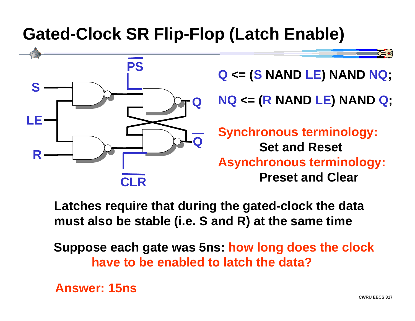## **Gated-Clock SR Flip-Flop (Latch Enable)**



**Latches require that during the gated-clock the data must also be stable (i.e. S and R) at the same time**

**Suppose each gate was 5ns: how long does the clock have to be enabled to latch the data?**

**Answer: 15ns**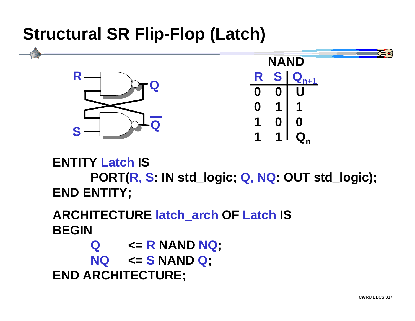## **Structural SR Flip-Flop (Latch)**



**ENTITY Latch ISPORT(R, S: IN std\_logic; Q, NQ: OUT std\_logic); END ENTITY;**

**ARCHITECTURE latch\_arch OF Latch IS BEGIN**

**Q <= R NAND NQ; NQ <= S NAND Q; END ARCHITECTURE;**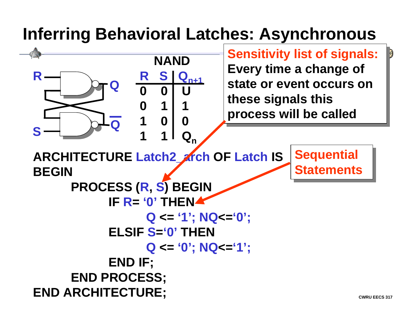# **Inferring Behavioral Latches: Asynchronous**



₿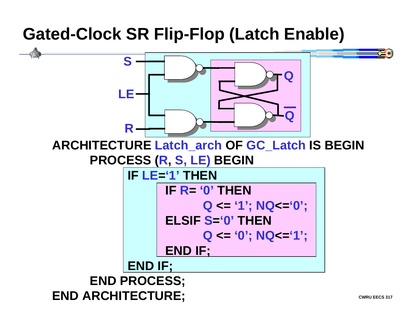## **Gated-Clock SR Flip-Flop (Latch Enable)**

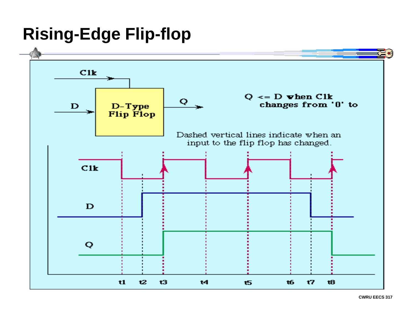## **Rising-Edge Flip-flop**

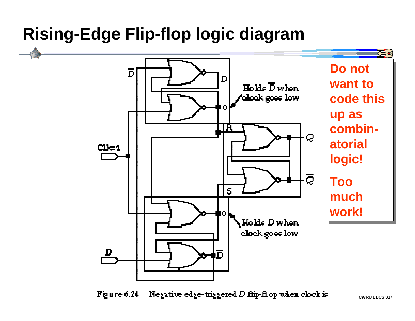## **Rising-Edge Flip-flop logic diagram**



Negative edge-triggered D flip-flop when clock is Figure 6.24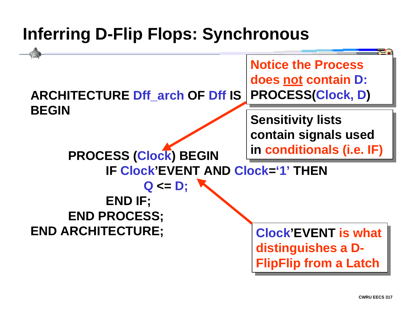# **Inferring D-Flip Flops: Synchronous**

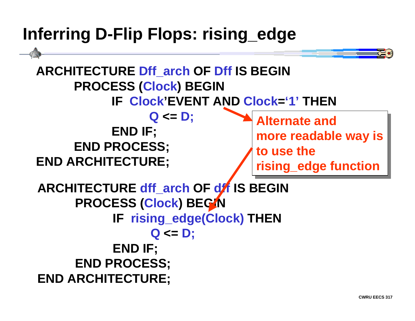## **Inferring D-Flip Flops: rising\_edge**

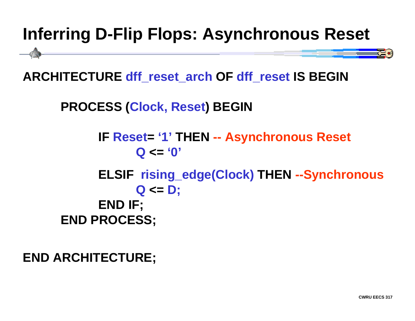# **Inferring D-Flip Flops: Asynchronous Reset**

**ARCHITECTURE dff\_reset\_arch OF dff\_reset IS BEGIN**

**PROCESS (Clock, Reset ) BEGIN**

**IF Reset= '1' THEN -- Asynchronous Reset Q <= '0' ELSIF rising\_edge(Clock) THEN --Synchronous Q <= D; END IF; END PROCESS;**

**END ARCHITECTURE;**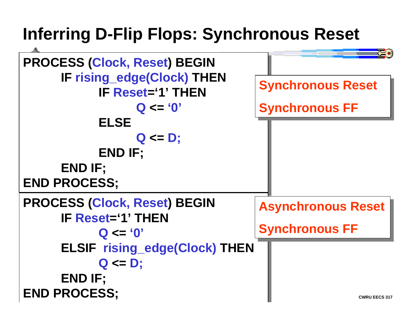# **Inferring D-Flip Flops: Synchronous Reset**

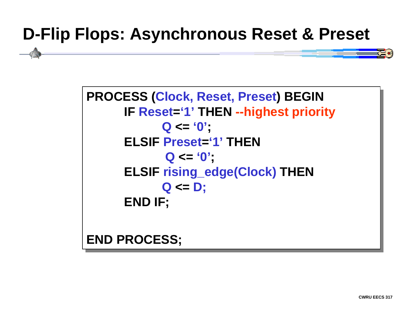## **D-Flip Flops: Asynchronous Reset & Preset**

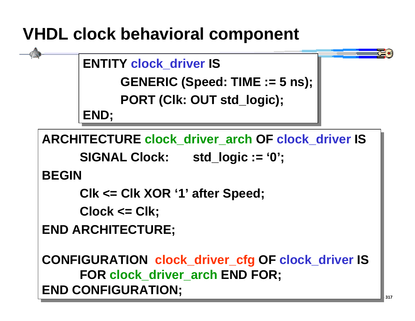# **VHDL clock behavioral component**

```
ENTITY clock_driver IS
ENTITY clock_driver IS
```

```
GENERIC (Speed: TIME := 5 ns);
GENERIC (Speed: TIME := 5 ns);
```

```
PORT (Clk: OUT std_logic);
PORT (Clk: OUT std_logic);
```
**END; END;**

**ARCHITECTURE clock\_driver\_arch OF clock\_driver IS ARCHITECTURE clock\_driver\_arch OF clock\_driver IS**

**SIGNAL Clock: std\_logic := '0'; SIGNAL Clock: std\_logic := '0';**

**BEGINBEGIN**

```
Clk <= Clk XOR '1' after Speed;
Clk <= Clk XOR '1' after Speed;
```

```
Clock <= Clk;
Clock <= Clk;
```
**END ARCHITECTURE; END ARCHITECTURE;**

**CONFIGURATION clock\_driver\_cfg OF clock\_driver IS CONFIGURATION clock\_driver\_cfg OF clock\_driver IS FOR clock\_driver\_arch END FOR; FOR clock\_driver\_arch END FOR; END CONFIGURATION; END CONFIGURATION;**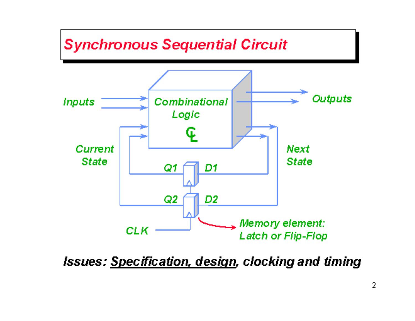

**Issues: Specification, design, clocking and timing**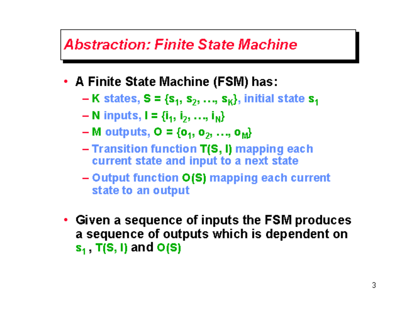#### **Abstraction: Finite State Machine**

- A Finite State Machine (FSM) has:
	- $-K$  states,  $S = \{s_1, s_2, ..., s_K\}$ , initial state  $s_1$
	- $N$  inputs,  $I = \{i_1, i_2, ..., i_N\}$
	- M outputs,  $O = \{o_1, o_2, ..., o_M\}$
	- $-$  Transition function  $T(S, I)$  mapping each current state and input to a next state
	- Output function O(S) mapping each current state to an output
- Given a sequence of inputs the FSM produces a sequence of outputs which is dependent on  $s_1$ , T(S, I) and O(S)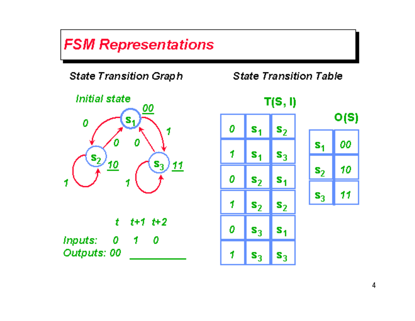### **FSM Representations**

**State Transition Graph** 



|             | t t+1 t+2 |  |
|-------------|-----------|--|
| Inputs: 0   | - 10      |  |
| Outputs: 00 |           |  |

**State Transition Table** 



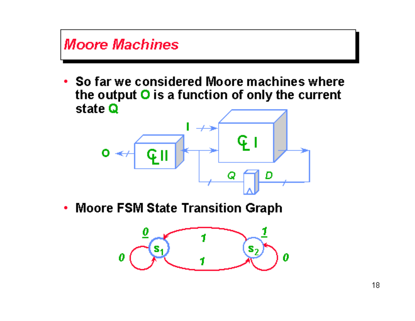

• Moore FSM State Transition Graph

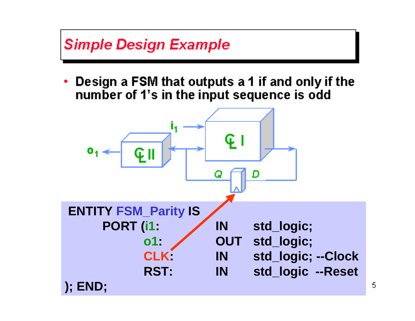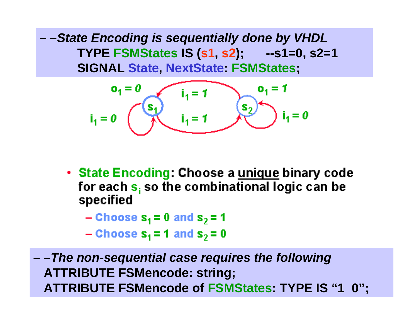**State Encoding** *– –State Encoding is sequentially done by VHDL* **TYPE FSMStates IS (s1, s2); --s1=0, s2=1 SIGNAL State, NextState: FSMStates;**

$$
i_1 = 0
$$
  $o_1 = 0$   $o_1 = 1$   $o_1 = 1$   $o_1 = 1$   $o_1 = 1$   $o_1 = 0$   $i_1 = 0$ 

• State Encoding: Choose a unique binary code for each  $s_i$  so the combinational logic can be specified

$$
-\text{Choose } s_1 = 0 \text{ and } s_2 = 1
$$

$$
-\text{Choose } s_1 = 1 \text{ and } s_2 = 0
$$

*– –The non-sequential case requires the following* **ATTRIBUTE FSMencode: string; ATTRIBUTE FSMencode of FSMStates: TYPE IS "1 0";**

**CWRU EECS** 3177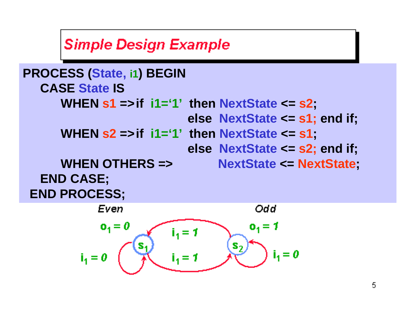### **Simple Design Example**

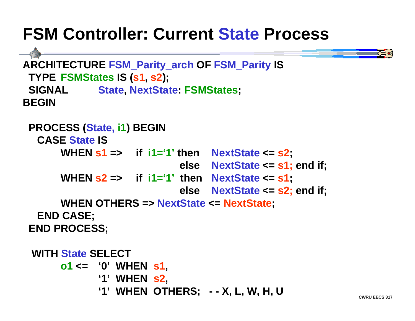# **FSM Controller: Current State Process**

```
ARCHITECTURE FSM_Parity_arch OF FSM_Parity IS
 TYPE FSMStates IS (s1, s2);
  SIGNAL State, NextState: FSMStates;
BEGIN
```

```
 PROCESS (State, i1) BEGIN
   CASE State ISWHEN s1 => if i1='1' then NextState <= s2;
                             else NextState <= s1; end if;
 WHEN s2 => if i1='1' then NextState <= s1;
                            else NextState <= s2; end if;
      WHEN OTHERS => NextState <= NextState;
   END CASE;
 END PROCESS;
  WITH State SELECTo1 <= '0' WHEN s1,
             '1' WHEN s2,
             '1' WHEN OTHERS; - - X, L, W, H, U
```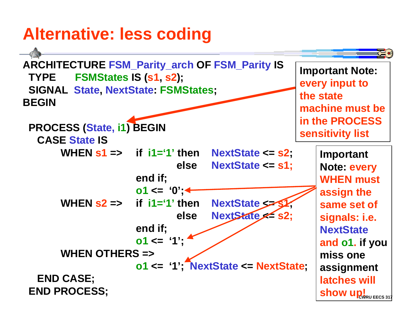# **Alternative: less coding**

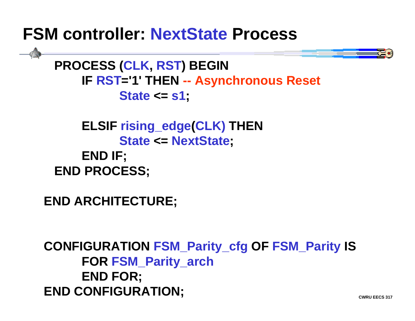### **FSM controller: NextState Process**



 **PROCESS (CLK, RST) BEGIN IF RST='1' THEN -- Asynchronous Reset State <= s1;**

 **ELSIF rising\_edge(CLK) THEN State <= NextState; END IF; END PROCESS;**

**END ARCHITECTURE;**

**CONFIGURATION FSM\_Parity\_cfg OF FSM\_Parity IS FOR FSM\_Parity\_arch END FOR; END CONFIGURATION;**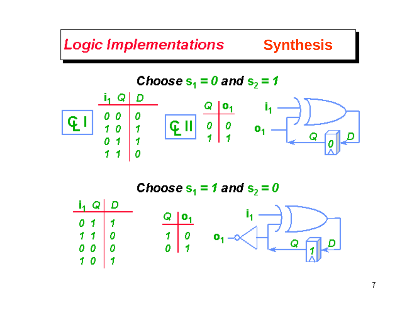# **Logic Implementations Synthesis**

Choose s<sub>1</sub> = 0 and s<sub>2</sub> = 1  
\n
$$
\frac{\frac{i_1}{1} Q \mid D}{\int_{0}^{0} \int_{1}^{0} \int_{1}^{0} \left| \frac{Q \mid I \mid}{\int_{1}^{0} \int_{1}^{0} \left| \frac{Q \mid I \mid}{\int_{1}^{0} \left| \frac{Q \mid I \mid}{\int_{1}^{0} \left| \frac{Q \mid I \mid}{\int_{1}^{0} \left| \frac{Q \mid I \mid}{\int_{1}^{0} \left| \frac{Q \mid I \mid}{\int_{1}^{0} \left| \frac{Q \mid I \mid}{\int_{1}^{0} \left| \frac{Q \mid I \mid}{\int_{1}^{0} \left| \frac{Q \mid I \mid}{\int_{1}^{0} \left| \frac{Q \mid I \mid}{\int_{1}^{0} \left| \frac{Q \mid I \mid}{\int_{1}^{0} \left| \frac{Q \mid I \mid}{\int_{1}^{0} \left| \frac{Q \mid I \mid}{\int_{1}^{0} \left| \frac{Q \mid I \mid}{\int_{1}^{0} \left| \frac{Q \mid I \mid}{\int_{1}^{0} \left| \frac{Q \mid I \mid}{\int_{1}^{0} \left| \frac{Q \mid I \mid}{\int_{1}^{0} \left| \frac{Q \mid I \mid}{\int_{1}^{0} \left| \frac{Q \mid I \mid}{\int_{1}^{0} \left| \frac{Q \mid I \mid}{\int_{1}^{0} \left| \frac{Q \mid I \mid}{\int_{1}^{0} \left| \frac{Q \mid I \mid}{\int_{1}^{0} \left| \frac{Q \mid I \mid}{\int_{1}^{0} \left| \frac{Q \mid I \mid}{\int_{1}^{0} \left| \frac{Q \mid I \mid}{\int_{1}^{0} \left| \frac{Q \mid I \mid}{\int_{1}^{0} \left| \frac{Q \mid I \mid}{\int_{1}^{0} \left| \frac{Q \mid I \mid}{\int_{1}^{0} \left| \frac{Q \mid I \mid}{\int_{1}^{0} \left| \frac{Q \mid I \mid}{\int_{1}^{0} \left| \frac{Q \mid I \mid}{\int_{1}^{0} \left| \frac{Q \mid I \mid}{\int_{1}^{0} \left| \frac{Q \mid I \mid}{\
$$

Choose  $s_1 = 1$  and  $s_2 = 0$ D  $i_1$  Q  $Q$  |  $O_1$ 0  $\mathbf{I}$  $\mathbf f$  $10$  $\overline{\mathbf{1}}$  $\mathcal I$  $\mathbf{o}_1$ 0  $\boldsymbol{\theta}$  $0\,0$ 0  $\mathcal{F}$ 0 1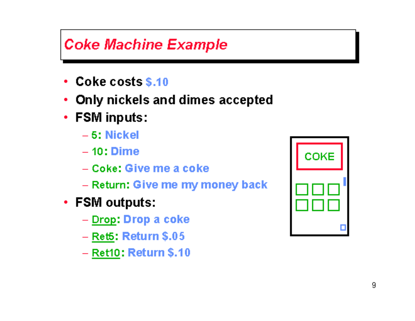### **Coke Machine Example**

- Coke costs \$.10
- Only nickels and dimes accepted
- FSM inputs:
	- $-5$ : Nickel
	- $-10:$  Dime
	- Coke: Give me a coke
	- Return: Give me my money back
- FSM outputs:
	- Drop: Drop a coke
	- $-$  Ret5: Return \$.05
	- $-$  Ret10: Return \$.10

| COKE |  |  |  |
|------|--|--|--|
|      |  |  |  |
|      |  |  |  |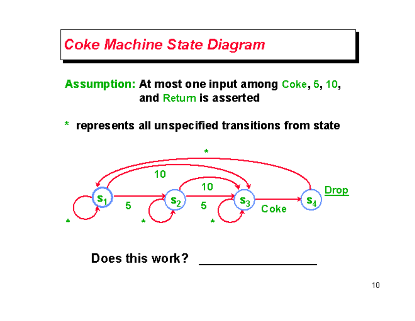### **Coke Machine State Diagram**

#### Assumption: At most one input among Coke, 5, 10, and Retum is asserted

\* represents all unspecified transitions from state



Does this work?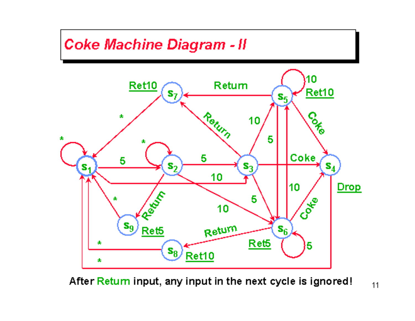

After Return input, any input in the next cycle is ignored!

 $11$